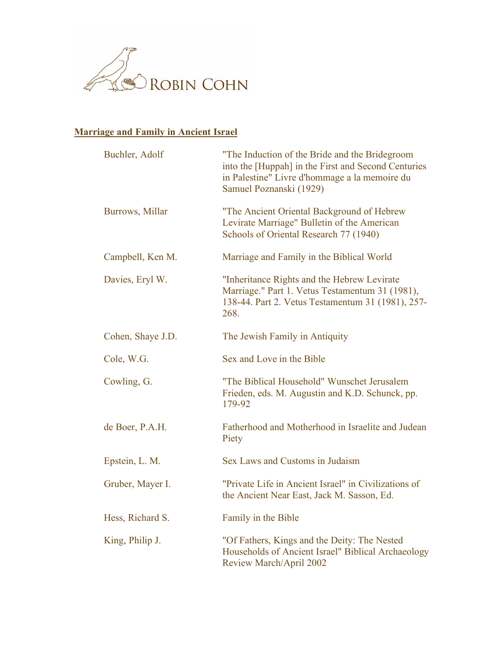

## **Marriage and Family in Ancient Israel**

| Buchler, Adolf    | "The Induction of the Bride and the Bridegroom<br>into the [Huppah] in the First and Second Centuries<br>in Palestine" Livre d'hommage a la memoire du<br>Samuel Poznanski (1929) |
|-------------------|-----------------------------------------------------------------------------------------------------------------------------------------------------------------------------------|
| Burrows, Millar   | "The Ancient Oriental Background of Hebrew<br>Levirate Marriage" Bulletin of the American<br>Schools of Oriental Research 77 (1940)                                               |
| Campbell, Ken M.  | Marriage and Family in the Biblical World                                                                                                                                         |
| Davies, Eryl W.   | "Inheritance Rights and the Hebrew Levirate"<br>Marriage." Part 1. Vetus Testamentum 31 (1981),<br>138-44. Part 2. Vetus Testamentum 31 (1981), 257-<br>268.                      |
| Cohen, Shaye J.D. | The Jewish Family in Antiquity                                                                                                                                                    |
| Cole, W.G.        | Sex and Love in the Bible                                                                                                                                                         |
| Cowling, G.       | "The Biblical Household" Wunschet Jerusalem<br>Frieden, eds. M. Augustin and K.D. Schunck, pp.<br>179-92                                                                          |
| de Boer, P.A.H.   | Fatherhood and Motherhood in Israelite and Judean<br>Piety                                                                                                                        |
| Epstein, L. M.    | Sex Laws and Customs in Judaism                                                                                                                                                   |
| Gruber, Mayer I.  | "Private Life in Ancient Israel" in Civilizations of<br>the Ancient Near East, Jack M. Sasson, Ed.                                                                                |
| Hess, Richard S.  | Family in the Bible                                                                                                                                                               |
| King, Philip J.   | "Of Fathers, Kings and the Deity: The Nested<br>Households of Ancient Israel" Biblical Archaeology<br>Review March/April 2002                                                     |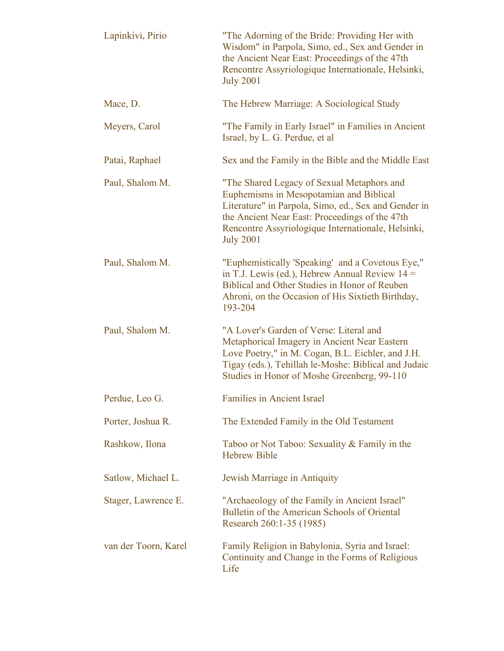| Lapinkivi, Pirio     | "The Adorning of the Bride: Providing Her with<br>Wisdom" in Parpola, Simo, ed., Sex and Gender in<br>the Ancient Near East: Proceedings of the 47th<br>Rencontre Assyriologique Internationale, Helsinki,<br><b>July 2001</b>                                            |
|----------------------|---------------------------------------------------------------------------------------------------------------------------------------------------------------------------------------------------------------------------------------------------------------------------|
| Mace, D.             | The Hebrew Marriage: A Sociological Study                                                                                                                                                                                                                                 |
| Meyers, Carol        | "The Family in Early Israel" in Families in Ancient<br>Israel, by L. G. Perdue, et al.                                                                                                                                                                                    |
| Patai, Raphael       | Sex and the Family in the Bible and the Middle East                                                                                                                                                                                                                       |
| Paul, Shalom M.      | "The Shared Legacy of Sexual Metaphors and<br>Euphemisms in Mesopotamian and Biblical<br>Literature" in Parpola, Simo, ed., Sex and Gender in<br>the Ancient Near East: Proceedings of the 47th<br>Rencontre Assyriologique Internationale, Helsinki,<br><b>July 2001</b> |
| Paul, Shalom M.      | "Euphemistically 'Speaking' and a Covetous Eye,"<br>in T.J. Lewis (ed.), Hebrew Annual Review $14 =$<br>Biblical and Other Studies in Honor of Reuben<br>Ahroni, on the Occasion of His Sixtieth Birthday,<br>193-204                                                     |
| Paul, Shalom M.      | "A Lover's Garden of Verse: Literal and<br>Metaphorical Imagery in Ancient Near Eastern<br>Love Poetry," in M. Cogan, B.L. Eichler, and J.H.<br>Tigay (eds.), Tehillah le-Moshe: Biblical and Judaic<br>Studies in Honor of Moshe Greenberg, 99-110                       |
| Perdue, Leo G.       | <b>Families in Ancient Israel</b>                                                                                                                                                                                                                                         |
| Porter, Joshua R.    | The Extended Family in the Old Testament                                                                                                                                                                                                                                  |
| Rashkow, Ilona       | Taboo or Not Taboo: Sexuality & Family in the<br><b>Hebrew Bible</b>                                                                                                                                                                                                      |
| Satlow, Michael L.   | Jewish Marriage in Antiquity                                                                                                                                                                                                                                              |
| Stager, Lawrence E.  | "Archaeology of the Family in Ancient Israel"<br>Bulletin of the American Schools of Oriental<br>Research 260:1-35 (1985)                                                                                                                                                 |
| van der Toorn, Karel | Family Religion in Babylonia, Syria and Israel:<br>Continuity and Change in the Forms of Religious<br>Life                                                                                                                                                                |